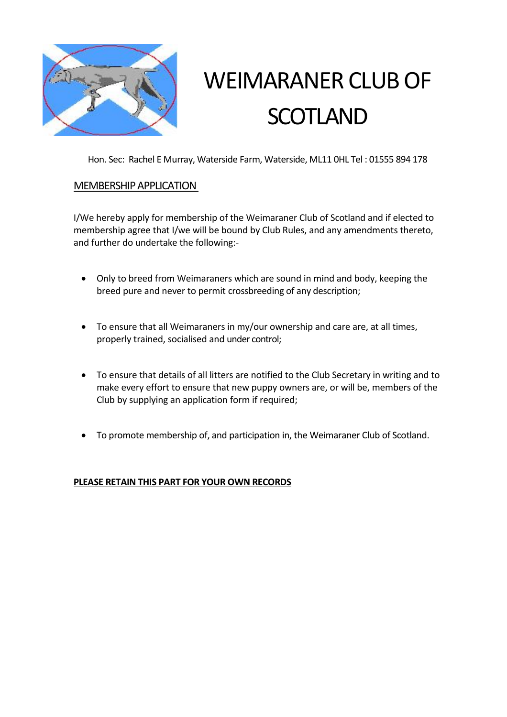

# WEIMARANER CLUB OF **SCOTLAND**

Hon. Sec: Rachel E Murray, Waterside Farm, Waterside, ML11 0HL Tel : 01555 894 178

# MEMBERSHIP APPLICATION

I/We hereby apply for membership of the Weimaraner Club of Scotland and if elected to membership agree that I/we will be bound by Club Rules, and any amendments thereto, and further do undertake the following:-

- Only to breed from Weimaraners which are sound in mind and body, keeping the breed pure and never to permit crossbreeding of any description;
- To ensure that all Weimaraners in my/our ownership and care are, at all times, properly trained, socialised and under control;
- To ensure that details of all litters are notified to the Club Secretary in writing and to make every effort to ensure that new puppy owners are, or will be, members of the Club by supplying an application form if required;
- To promote membership of, and participation in, the Weimaraner Club of Scotland.

# **PLEASE RETAIN THIS PART FOR YOUR OWN RECORDS**